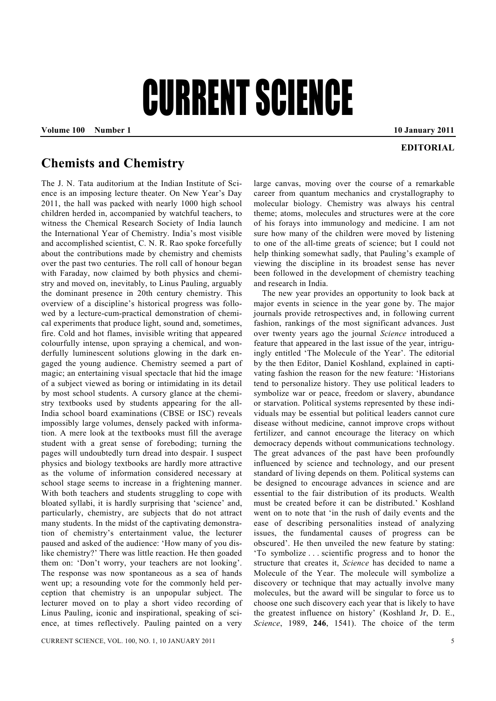## CURRENT SCIENCE

**Volume 100 Number 1 10 January 2011 10 January 2011** 

## **EDITORIAL**

## **Chemists and Chemistry**

The J. N. Tata auditorium at the Indian Institute of Science is an imposing lecture theater. On New Year's Day 2011, the hall was packed with nearly 1000 high school children herded in, accompanied by watchful teachers, to witness the Chemical Research Society of India launch the International Year of Chemistry. India's most visible and accomplished scientist, C. N. R. Rao spoke forcefully about the contributions made by chemistry and chemists over the past two centuries. The roll call of honour began with Faraday, now claimed by both physics and chemistry and moved on, inevitably, to Linus Pauling, arguably the dominant presence in 20th century chemistry. This overview of a discipline's historical progress was followed by a lecture-cum-practical demonstration of chemical experiments that produce light, sound and, sometimes, fire. Cold and hot flames, invisible writing that appeared colourfully intense, upon spraying a chemical, and wonderfully luminescent solutions glowing in the dark engaged the young audience. Chemistry seemed a part of magic; an entertaining visual spectacle that hid the image of a subject viewed as boring or intimidating in its detail by most school students. A cursory glance at the chemistry textbooks used by students appearing for the all-India school board examinations (CBSE or ISC) reveals impossibly large volumes, densely packed with information. A mere look at the textbooks must fill the average student with a great sense of foreboding; turning the pages will undoubtedly turn dread into despair. I suspect physics and biology textbooks are hardly more attractive as the volume of information considered necessary at school stage seems to increase in a frightening manner. With both teachers and students struggling to cope with bloated syllabi, it is hardly surprising that 'science' and, particularly, chemistry, are subjects that do not attract many students. In the midst of the captivating demonstration of chemistry's entertainment value, the lecturer paused and asked of the audience: 'How many of you dislike chemistry?' There was little reaction. He then goaded them on: 'Don't worry, your teachers are not looking'. The response was now spontaneous as a sea of hands went up; a resounding vote for the commonly held perception that chemistry is an unpopular subject. The lecturer moved on to play a short video recording of Linus Pauling, iconic and inspirational, speaking of science, at times reflectively. Pauling painted on a very

large canvas, moving over the course of a remarkable career from quantum mechanics and crystallography to molecular biology. Chemistry was always his central theme; atoms, molecules and structures were at the core of his forays into immunology and medicine. I am not sure how many of the children were moved by listening to one of the all-time greats of science; but I could not help thinking somewhat sadly, that Pauling's example of viewing the discipline in its broadest sense has never been followed in the development of chemistry teaching and research in India.

 The new year provides an opportunity to look back at major events in science in the year gone by. The major journals provide retrospectives and, in following current fashion, rankings of the most significant advances. Just over twenty years ago the journal *Science* introduced a feature that appeared in the last issue of the year, intriguingly entitled 'The Molecule of the Year'. The editorial by the then Editor, Daniel Koshland, explained in captivating fashion the reason for the new feature: 'Historians tend to personalize history. They use political leaders to symbolize war or peace, freedom or slavery, abundance or starvation. Political systems represented by these individuals may be essential but political leaders cannot cure disease without medicine, cannot improve crops without fertilizer, and cannot encourage the literacy on which democracy depends without communications technology. The great advances of the past have been profoundly influenced by science and technology, and our present standard of living depends on them. Political systems can be designed to encourage advances in science and are essential to the fair distribution of its products. Wealth must be created before it can be distributed.' Koshland went on to note that 'in the rush of daily events and the ease of describing personalities instead of analyzing issues, the fundamental causes of progress can be obscured'. He then unveiled the new feature by stating: 'To symbolize . . . scientific progress and to honor the structure that creates it, *Science* has decided to name a Molecule of the Year. The molecule will symbolize a discovery or technique that may actually involve many molecules, but the award will be singular to force us to choose one such discovery each year that is likely to have the greatest influence on history' (Koshland Jr, D. E., *Science*, 1989, **246**, 1541). The choice of the term